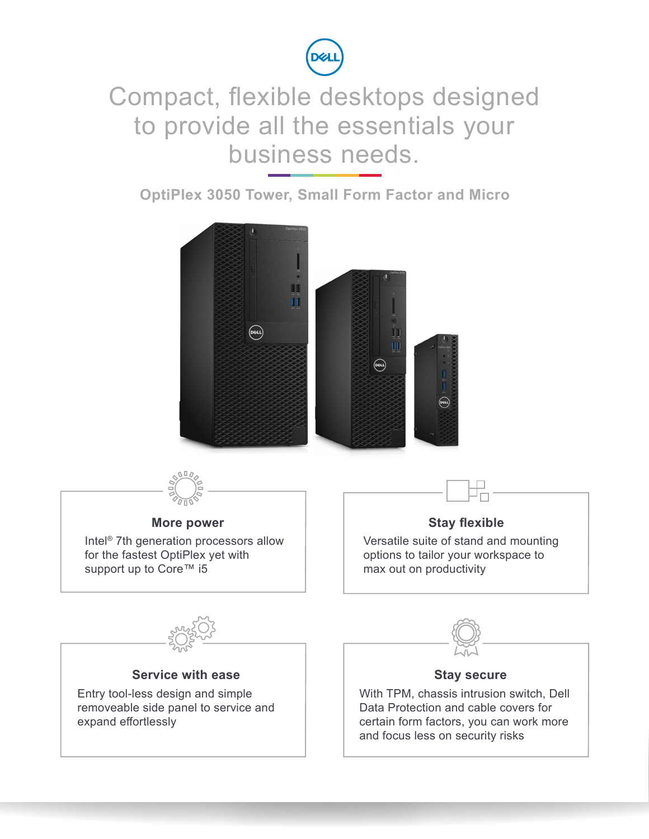

## Compact, flexible desktops designed to provide all the essentials your business needs.

**OptiPlex 3050 Tower, Small Form Factor and Micro**

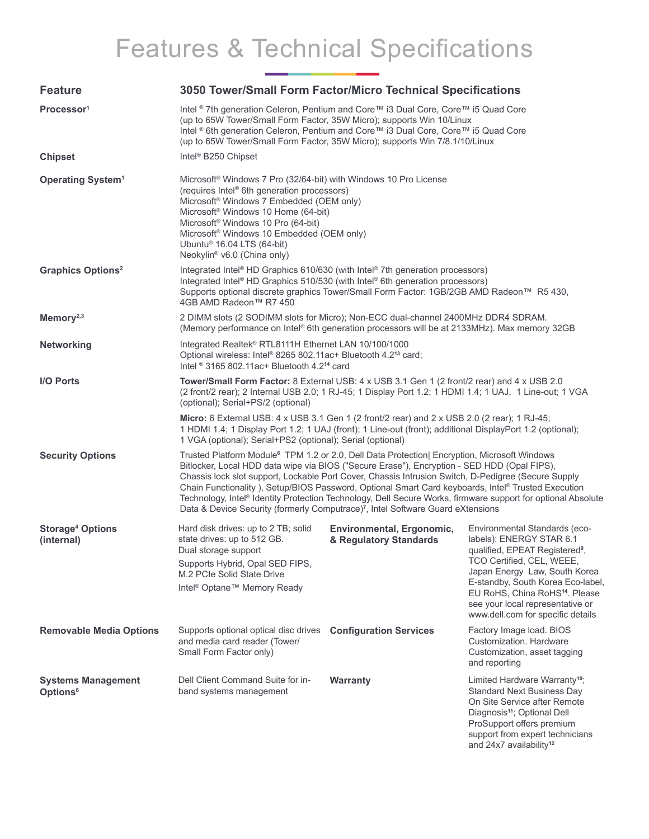# Features & Technical Specifications

| <b>Feature</b>                                    | 3050 Tower/Small Form Factor/Micro Technical Specifications                                                                                                                                                                                                                                                                                                                                                                                                                                                                                                                                                                         |                                                     |                                                                                                                                                                                                                                                                                                                                   |  |  |
|---------------------------------------------------|-------------------------------------------------------------------------------------------------------------------------------------------------------------------------------------------------------------------------------------------------------------------------------------------------------------------------------------------------------------------------------------------------------------------------------------------------------------------------------------------------------------------------------------------------------------------------------------------------------------------------------------|-----------------------------------------------------|-----------------------------------------------------------------------------------------------------------------------------------------------------------------------------------------------------------------------------------------------------------------------------------------------------------------------------------|--|--|
| Processor <sup>1</sup>                            | Intel ® 7th generation Celeron, Pentium and Core™ i3 Dual Core, Core™ i5 Quad Core<br>(up to 65W Tower/Small Form Factor, 35W Micro); supports Win 10/Linux<br>Intel ® 6th generation Celeron, Pentium and Core™ i3 Dual Core, Core™ i5 Quad Core<br>(up to 65W Tower/Small Form Factor, 35W Micro); supports Win 7/8.1/10/Linux                                                                                                                                                                                                                                                                                                    |                                                     |                                                                                                                                                                                                                                                                                                                                   |  |  |
| <b>Chipset</b>                                    | Intel <sup>®</sup> B250 Chipset                                                                                                                                                                                                                                                                                                                                                                                                                                                                                                                                                                                                     |                                                     |                                                                                                                                                                                                                                                                                                                                   |  |  |
| <b>Operating System<sup>1</sup></b>               | Microsoft® Windows 7 Pro (32/64-bit) with Windows 10 Pro License<br>(requires Intel <sup>®</sup> 6th generation processors)<br>Microsoft <sup>®</sup> Windows 7 Embedded (OEM only)<br>Microsoft <sup>®</sup> Windows 10 Home (64-bit)<br>Microsoft <sup>®</sup> Windows 10 Pro (64-bit)<br>Microsoft <sup>®</sup> Windows 10 Embedded (OEM only)<br>Ubuntu <sup>®</sup> 16.04 LTS (64-bit)<br>Neokylin <sup>®</sup> v6.0 (China only)                                                                                                                                                                                              |                                                     |                                                                                                                                                                                                                                                                                                                                   |  |  |
| <b>Graphics Options<sup>2</sup></b>               | Integrated Intel® HD Graphics 610/630 (with Intel® 7th generation processors)<br>Integrated Intel® HD Graphics 510/530 (with Intel® 6th generation processors)<br>Supports optional discrete graphics Tower/Small Form Factor: 1GB/2GB AMD Radeon™ R5 430,<br>4GB AMD Radeon™ R7 450                                                                                                                                                                                                                                                                                                                                                |                                                     |                                                                                                                                                                                                                                                                                                                                   |  |  |
| Memory <sup>2,3</sup>                             | 2 DIMM slots (2 SODIMM slots for Micro); Non-ECC dual-channel 2400MHz DDR4 SDRAM.<br>(Memory performance on Intel® 6th generation processors will be at 2133MHz). Max memory 32GB                                                                                                                                                                                                                                                                                                                                                                                                                                                   |                                                     |                                                                                                                                                                                                                                                                                                                                   |  |  |
| <b>Networking</b>                                 | Integrated Realtek® RTL8111H Ethernet LAN 10/100/1000<br>Optional wireless: Intel® 8265 802.11ac+ Bluetooth 4.213 card;<br>Intel $\textdegree$ 3165 802.11ac+ Bluetooth 4.2 <sup>14</sup> card                                                                                                                                                                                                                                                                                                                                                                                                                                      |                                                     |                                                                                                                                                                                                                                                                                                                                   |  |  |
| <b>I/O Ports</b>                                  | Tower/Small Form Factor: 8 External USB: 4 x USB 3.1 Gen 1 (2 front/2 rear) and 4 x USB 2.0<br>(2 front/2 rear); 2 Internal USB 2.0; 1 RJ-45; 1 Display Port 1.2; 1 HDMI 1.4; 1 UAJ, 1 Line-out; 1 VGA<br>(optional); Serial+PS/2 (optional)                                                                                                                                                                                                                                                                                                                                                                                        |                                                     |                                                                                                                                                                                                                                                                                                                                   |  |  |
|                                                   | <b>Micro:</b> 6 External USB: $4 \times$ USB 3.1 Gen 1 (2 front/2 rear) and 2 x USB 2.0 (2 rear); 1 RJ-45;<br>1 HDMI 1.4; 1 Display Port 1.2; 1 UAJ (front); 1 Line-out (front); additional DisplayPort 1.2 (optional);<br>1 VGA (optional); Serial+PS2 (optional); Serial (optional)                                                                                                                                                                                                                                                                                                                                               |                                                     |                                                                                                                                                                                                                                                                                                                                   |  |  |
| <b>Security Options</b>                           | Trusted Platform Module <sup>6</sup> TPM 1.2 or 2.0, Dell Data Protection  Encryption, Microsoft Windows<br>Bitlocker, Local HDD data wipe via BIOS ("Secure Erase"), Encryption - SED HDD (Opal FIPS),<br>Chassis lock slot support, Lockable Port Cover, Chassis Intrusion Switch, D-Pedigree (Secure Supply<br>Chain Functionality), Setup/BIOS Password, Optional Smart Card keyboards, Intel® Trusted Execution<br>Technology, Intel® Identity Protection Technology, Dell Secure Works, firmware support for optional Absolute<br>Data & Device Security (formerly Computrace) <sup>7</sup> , Intel Software Guard eXtensions |                                                     |                                                                                                                                                                                                                                                                                                                                   |  |  |
| <b>Storage<sup>4</sup> Options</b><br>(internal)  | Hard disk drives: up to 2 TB; solid<br>state drives: up to 512 GB.<br>Dual storage support<br>Supports Hybrid, Opal SED FIPS,<br>M.2 PCIe Solid State Drive<br>Intel <sup>®</sup> Optane <sup>™</sup> Memory Ready                                                                                                                                                                                                                                                                                                                                                                                                                  | Environmental, Ergonomic,<br>& Regulatory Standards | Environmental Standards (eco-<br>labels): ENERGY STAR 6.1<br>qualified, EPEAT Registered <sup>9</sup> ,<br>TCO Certified, CEL, WEEE,<br>Japan Energy Law, South Korea<br>E-standby, South Korea Eco-label,<br>EU RoHS, China RoHS <sup>14</sup> . Please<br>see your local representative or<br>www.dell.com for specific details |  |  |
| <b>Removable Media Options</b>                    | Supports optional optical disc drives Configuration Services<br>and media card reader (Tower/<br>Small Form Factor only)                                                                                                                                                                                                                                                                                                                                                                                                                                                                                                            |                                                     | Factory Image load. BIOS<br>Customization. Hardware<br>Customization, asset tagging<br>and reporting                                                                                                                                                                                                                              |  |  |
| <b>Systems Management</b><br>Options <sup>8</sup> | Dell Client Command Suite for in-<br>band systems management                                                                                                                                                                                                                                                                                                                                                                                                                                                                                                                                                                        | <b>Warranty</b>                                     | Limited Hardware Warranty <sup>10</sup> ;<br><b>Standard Next Business Day</b><br>On Site Service after Remote<br>Diagnosis <sup>11</sup> ; Optional Dell<br>ProSupport offers premium                                                                                                                                            |  |  |

support from expert technicians and 24x7 availability**12**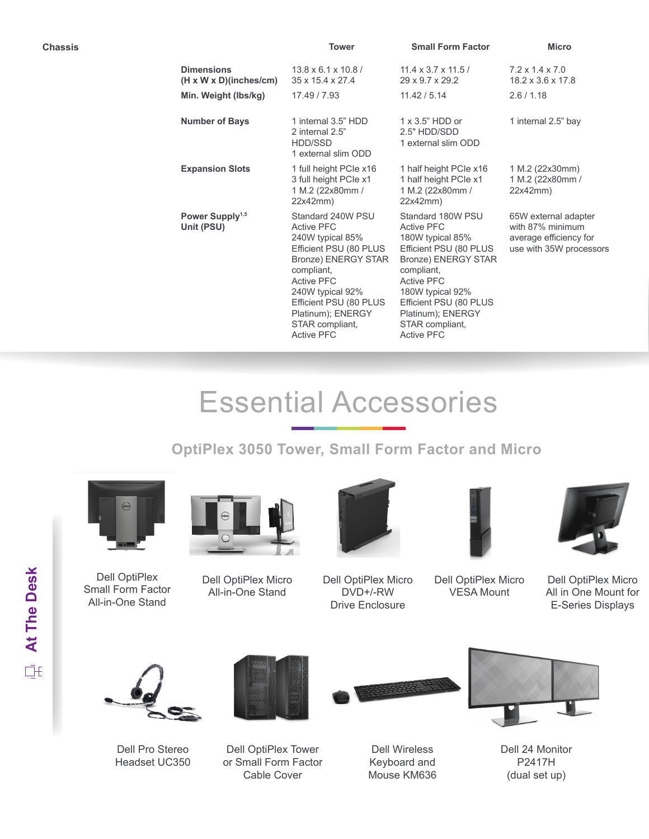| Chassis |                                                         | <b>Tower</b>                                                                                                                                                                                                                                                     | <b>Small Form Factor</b>                                                                                                                                                                                                                                         | <b>Micro</b>                                                                                  |
|---------|---------------------------------------------------------|------------------------------------------------------------------------------------------------------------------------------------------------------------------------------------------------------------------------------------------------------------------|------------------------------------------------------------------------------------------------------------------------------------------------------------------------------------------------------------------------------------------------------------------|-----------------------------------------------------------------------------------------------|
|         | <b>Dimensions</b><br>$(H \times W \times D)(inches/cm)$ | $13.8 \times 6.1 \times 10.8$ /<br>$35 \times 15.4 \times 27.4$                                                                                                                                                                                                  | $11.4 \times 3.7 \times 11.5$<br>29 x 9.7 x 29.2                                                                                                                                                                                                                 | $7.2 \times 1.4 \times 7.0$<br>$18.2 \times 3.6 \times 17.8$                                  |
|         | Min. Weight (lbs/kg)                                    | 17.49 / 7.93                                                                                                                                                                                                                                                     | 11.42 / 5.14                                                                                                                                                                                                                                                     | 2.6/1.18                                                                                      |
|         | <b>Number of Bays</b>                                   | 1 internal 3.5" HDD<br>2 internal 2.5"<br>HDD/SSD<br>1 external slim ODD                                                                                                                                                                                         | $1 \times 3.5$ " HDD or<br>2.5" HDD/SDD<br>1 external slim ODD                                                                                                                                                                                                   | 1 internal 2.5" bay                                                                           |
|         | <b>Expansion Slots</b>                                  | 1 full height PCIe x16<br>3 full height PCIe x1<br>1 M.2 (22x80mm /<br>22x42mm)                                                                                                                                                                                  | 1 half height PCIe x16<br>1 half height PCIe x1<br>1 M.2 (22x80mm /<br>22x42mm)                                                                                                                                                                                  | 1 M.2 (22x30mm)<br>1 M.2 (22x80mm /<br>22x42mm)                                               |
|         | Power Supply <sup>1,5</sup><br>Unit (PSU)               | Standard 240W PSU<br><b>Active PFC</b><br>240W typical 85%<br>Efficient PSU (80 PLUS<br><b>Bronze) ENERGY STAR</b><br>compliant,<br><b>Active PFC</b><br>240W typical 92%<br>Efficient PSU (80 PLUS<br>Platinum); ENERGY<br>STAR compliant,<br><b>Active PFC</b> | Standard 180W PSU<br><b>Active PFC</b><br>180W typical 85%<br>Efficient PSU (80 PLUS<br><b>Bronze) ENERGY STAR</b><br>compliant,<br><b>Active PFC</b><br>180W typical 92%<br>Efficient PSU (80 PLUS<br>Platinum); ENERGY<br>STAR compliant,<br><b>Active PFC</b> | 65W external adapter<br>with 87% minimum<br>average efficiency for<br>use with 35W processors |

# Essential Accessories

### **OptiPlex 3050 Tower, Small Form Factor and Micro**



Dell OptiPlex Small Form Factor All-in-One Stand



Dell OptiPlex Micro All-in-One Stand



Dell OptiPlex Micro DVD+/-RW Drive Enclosure



Dell OptiPlex Micro VESA Mount

Dell OptiPlex Micro All in One Mount for E-Series Displays



Dell Pro Stereo Headset UC350



Dell OptiPlex Tower or Small Form Factor Cable Cover



Dell Wireless Keyboard and Mouse KM636



Dell 24 Monitor P2417H (dual set up)